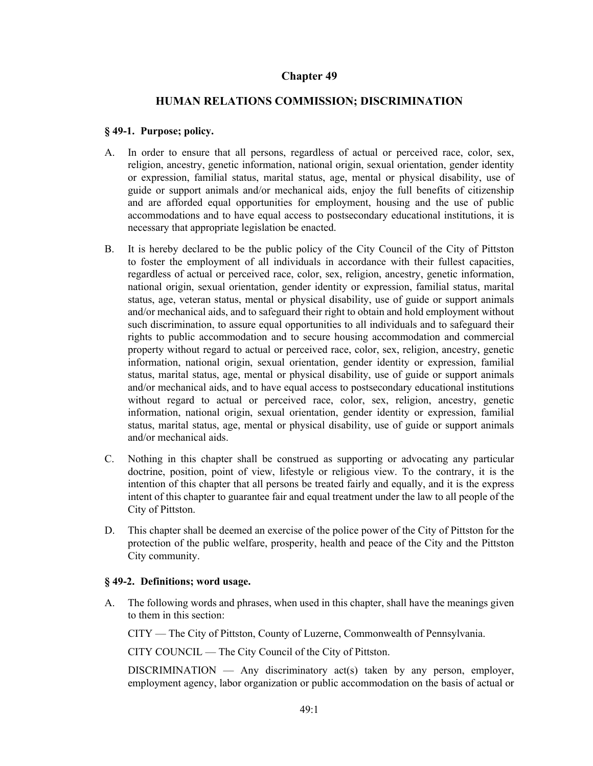# **Chapter 49**

# **HUMAN RELATIONS COMMISSION; DISCRIMINATION**

#### **§ 49-1. Purpose; policy.**

- In order to ensure that all persons, regardless of actual or perceived race, color, sex, religion, ancestry, genetic information, national origin, sexual orientation, gender identity or expression, familial status, marital status, age, mental or physical disability, use of guide or support animals and/or mechanical aids, enjoy the full benefits of citizenship and are afforded equal opportunities for employment, housing and the use of public accommodations and to have equal access to postsecondary educational institutions, it is necessary that appropriate legislation be enacted. A.
- It is hereby declared to be the public policy of the City Council of the City of Pittston to foster the employment of all individuals in accordance with their fullest capacities, regardless of actual or perceived race, color, sex, religion, ancestry, genetic information, national origin, sexual orientation, gender identity or expression, familial status, marital status, age, veteran status, mental or physical disability, use of guide or support animals and/or mechanical aids, and to safeguard their right to obtain and hold employment without such discrimination, to assure equal opportunities to all individuals and to safeguard their rights to public accommodation and to secure housing accommodation and commercial property without regard to actual or perceived race, color, sex, religion, ancestry, genetic information, national origin, sexual orientation, gender identity or expression, familial status, marital status, age, mental or physical disability, use of guide or support animals and/or mechanical aids, and to have equal access to postsecondary educational institutions without regard to actual or perceived race, color, sex, religion, ancestry, genetic information, national origin, sexual orientation, gender identity or expression, familial status, marital status, age, mental or physical disability, use of guide or support animals and/or mechanical aids. B.
- Nothing in this chapter shall be construed as supporting or advocating any particular doctrine, position, point of view, lifestyle or religious view. To the contrary, it is the intention of this chapter that all persons be treated fairly and equally, and it is the express intent of this chapter to guarantee fair and equal treatment under the law to all people of the City of Pittston. C.
- This chapter shall be deemed an exercise of the police power of the City of Pittston for the protection of the public welfare, prosperity, health and peace of the City and the Pittston City community. D.

## **§ 49-2. Definitions; word usage.**

The following words and phrases, when used in this chapter, shall have the meanings given to them in this section: A.

CITY — The City of Pittston, County of Luzerne, Commonwealth of Pennsylvania.

CITY COUNCIL — The City Council of the City of Pittston.

DISCRIMINATION — Any discriminatory  $act(s)$  taken by any person, employer, employment agency, labor organization or public accommodation on the basis of actual or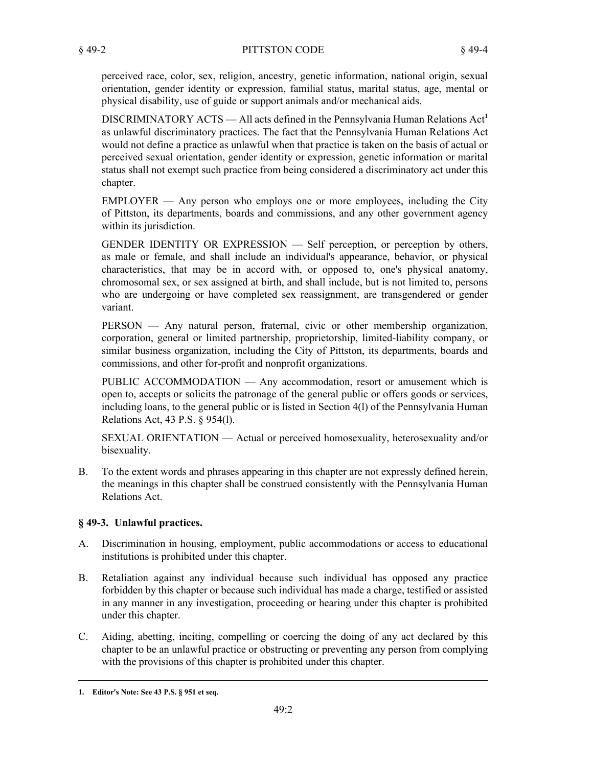perceived race, color, sex, religion, ancestry, genetic information, national origin, sexual orientation, gender identity or expression, familial status, marital status, age, mental or physical disability, use of guide or support animals and/or mechanical aids.

DISCRIMINATORY ACTS — All acts defined in the Pennsylvania Human Relations Act<sup>1</sup> as unlawful discriminatory practices. The fact that the Pennsylvania Human Relations Act would not define a practice as unlawful when that practice is taken on the basis of actual or perceived sexual orientation, gender identity or expression, genetic information or marital status shall not exempt such practice from being considered a discriminatory act under this chapter.

EMPLOYER — Any person who employs one or more employees, including the City of Pittston, its departments, boards and commissions, and any other government agency within its jurisdiction.

GENDER IDENTITY OR EXPRESSION — Self perception, or perception by others, as male or female, and shall include an individual's appearance, behavior, or physical characteristics, that may be in accord with, or opposed to, one's physical anatomy, chromosomal sex, or sex assigned at birth, and shall include, but is not limited to, persons who are undergoing or have completed sex reassignment, are transgendered or gender variant.

PERSON — Any natural person, fraternal, civic or other membership organization, corporation, general or limited partnership, proprietorship, limited-liability company, or similar business organization, including the City of Pittston, its departments, boards and commissions, and other for-profit and nonprofit organizations.

PUBLIC ACCOMMODATION — Any accommodation, resort or amusement which is open to, accepts or solicits the patronage of the general public or offers goods or services, including loans, to the general public or is listed in Section 4(l) of the Pennsylvania Human Relations Act, 43 P.S. § 954(l).

SEXUAL ORIENTATION — Actual or perceived homosexuality, heterosexuality and/or bisexuality.

To the extent words and phrases appearing in this chapter are not expressly defined herein, the meanings in this chapter shall be construed consistently with the Pennsylvania Human Relations Act. B.

## **§ 49-3. Unlawful practices.**

- Discrimination in housing, employment, public accommodations or access to educational institutions is prohibited under this chapter. A.
- Retaliation against any individual because such individual has opposed any practice forbidden by this chapter or because such individual has made a charge, testified or assisted in any manner in any investigation, proceeding or hearing under this chapter is prohibited under this chapter. B.
- Aiding, abetting, inciting, compelling or coercing the doing of any act declared by this chapter to be an unlawful practice or obstructing or preventing any person from complying with the provisions of this chapter is prohibited under this chapter. C.

**<sup>1.</sup> Editor's Note: See 43 P.S. § 951 et seq.**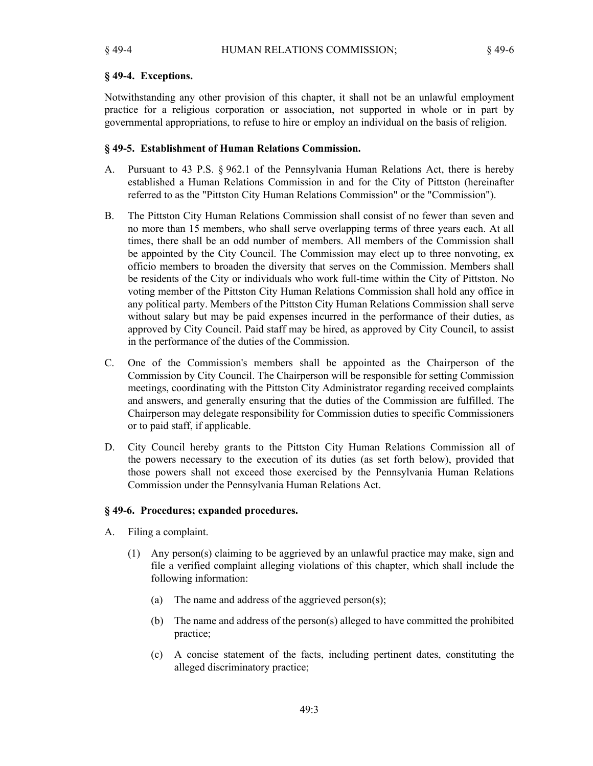## **§ 49-4. Exceptions.**

Notwithstanding any other provision of this chapter, it shall not be an unlawful employment practice for a religious corporation or association, not supported in whole or in part by governmental appropriations, to refuse to hire or employ an individual on the basis of religion.

#### **§ 49-5. Establishment of Human Relations Commission.**

- Pursuant to 43 P.S. § 962.1 of the Pennsylvania Human Relations Act, there is hereby established a Human Relations Commission in and for the City of Pittston (hereinafter referred to as the "Pittston City Human Relations Commission" or the "Commission"). A.
- The Pittston City Human Relations Commission shall consist of no fewer than seven and no more than 15 members, who shall serve overlapping terms of three years each. At all times, there shall be an odd number of members. All members of the Commission shall be appointed by the City Council. The Commission may elect up to three nonvoting, ex officio members to broaden the diversity that serves on the Commission. Members shall be residents of the City or individuals who work full-time within the City of Pittston. No voting member of the Pittston City Human Relations Commission shall hold any office in any political party. Members of the Pittston City Human Relations Commission shall serve without salary but may be paid expenses incurred in the performance of their duties, as approved by City Council. Paid staff may be hired, as approved by City Council, to assist in the performance of the duties of the Commission. B.
- One of the Commission's members shall be appointed as the Chairperson of the Commission by City Council. The Chairperson will be responsible for setting Commission meetings, coordinating with the Pittston City Administrator regarding received complaints and answers, and generally ensuring that the duties of the Commission are fulfilled. The Chairperson may delegate responsibility for Commission duties to specific Commissioners or to paid staff, if applicable. C.
- City Council hereby grants to the Pittston City Human Relations Commission all of the powers necessary to the execution of its duties (as set forth below), provided that those powers shall not exceed those exercised by the Pennsylvania Human Relations Commission under the Pennsylvania Human Relations Act. D.

#### **§ 49-6. Procedures; expanded procedures.**

- Filing a complaint. A.
	- Any person(s) claiming to be aggrieved by an unlawful practice may make, sign and (1) file a verified complaint alleging violations of this chapter, which shall include the following information:
		- (a) The name and address of the aggrieved person(s);
		- The name and address of the person(s) alleged to have committed the prohibited (b) practice;
		- A concise statement of the facts, including pertinent dates, constituting the (c) alleged discriminatory practice;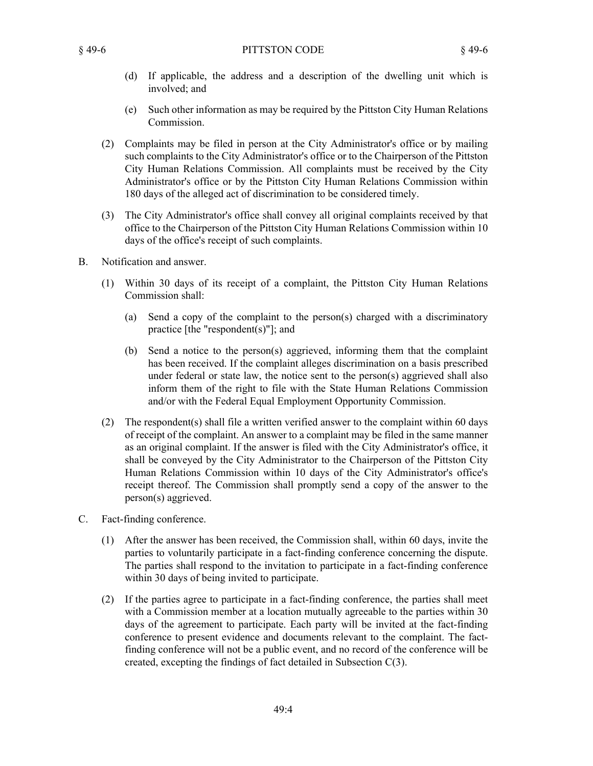#### § 49-6 PITTSTON CODE § 49-6

- (d) If applicable, the address and a description of the dwelling unit which is involved; and
- Such other information as may be required by the Pittston City Human Relations (e) Commission.
- Complaints may be filed in person at the City Administrator's office or by mailing (2) such complaints to the City Administrator's office or to the Chairperson of the Pittston City Human Relations Commission. All complaints must be received by the City Administrator's office or by the Pittston City Human Relations Commission within 180 days of the alleged act of discrimination to be considered timely.
- The City Administrator's office shall convey all original complaints received by that (3) office to the Chairperson of the Pittston City Human Relations Commission within 10 days of the office's receipt of such complaints.
- Notification and answer. B.
	- Within 30 days of its receipt of a complaint, the Pittston City Human Relations (1) Commission shall:
		- Send a copy of the complaint to the person(s) charged with a discriminatory (a) practice [the "respondent(s)"]; and
		- (b) Send a notice to the person(s) aggrieved, informing them that the complaint has been received. If the complaint alleges discrimination on a basis prescribed under federal or state law, the notice sent to the person(s) aggrieved shall also inform them of the right to file with the State Human Relations Commission and/or with the Federal Equal Employment Opportunity Commission.
	- The respondent(s) shall file a written verified answer to the complaint within 60 days (2) of receipt of the complaint. An answer to a complaint may be filed in the same manner as an original complaint. If the answer is filed with the City Administrator's office, it shall be conveyed by the City Administrator to the Chairperson of the Pittston City Human Relations Commission within 10 days of the City Administrator's office's receipt thereof. The Commission shall promptly send a copy of the answer to the person(s) aggrieved.
- Fact-finding conference. C.
	- After the answer has been received, the Commission shall, within 60 days, invite the (1) parties to voluntarily participate in a fact-finding conference concerning the dispute. The parties shall respond to the invitation to participate in a fact-finding conference within 30 days of being invited to participate.
	- (2) If the parties agree to participate in a fact-finding conference, the parties shall meet with a Commission member at a location mutually agreeable to the parties within 30 days of the agreement to participate. Each party will be invited at the fact-finding conference to present evidence and documents relevant to the complaint. The factfinding conference will not be a public event, and no record of the conference will be created, excepting the findings of fact detailed in Subsection C(3).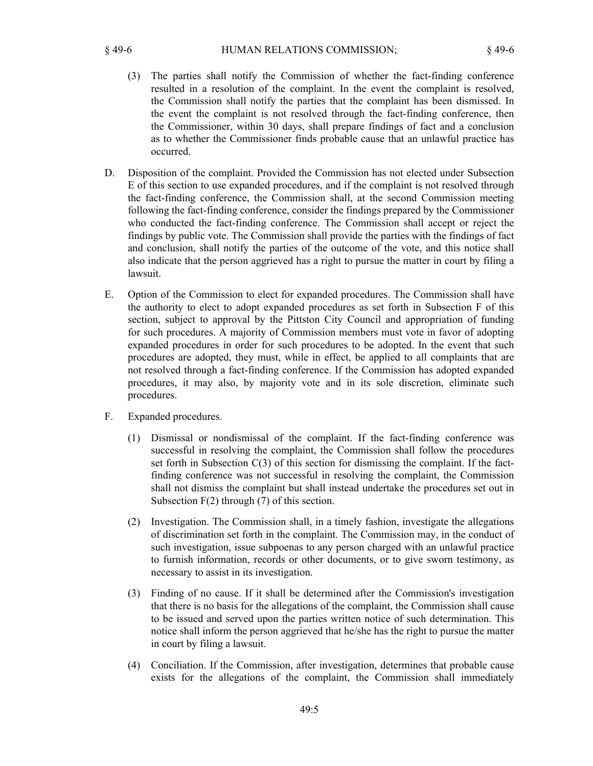- (3) The parties shall notify the Commission of whether the fact-finding conference resulted in a resolution of the complaint. In the event the complaint is resolved, the Commission shall notify the parties that the complaint has been dismissed. In the event the complaint is not resolved through the fact-finding conference, then the Commissioner, within 30 days, shall prepare findings of fact and a conclusion as to whether the Commissioner finds probable cause that an unlawful practice has occurred.
- Disposition of the complaint. Provided the Commission has not elected under Subsection E of this section to use expanded procedures, and if the complaint is not resolved through the fact-finding conference, the Commission shall, at the second Commission meeting following the fact-finding conference, consider the findings prepared by the Commissioner who conducted the fact-finding conference. The Commission shall accept or reject the findings by public vote. The Commission shall provide the parties with the findings of fact and conclusion, shall notify the parties of the outcome of the vote, and this notice shall also indicate that the person aggrieved has a right to pursue the matter in court by filing a lawsuit. D.
- Option of the Commission to elect for expanded procedures. The Commission shall have the authority to elect to adopt expanded procedures as set forth in Subsection F of this section, subject to approval by the Pittston City Council and appropriation of funding for such procedures. A majority of Commission members must vote in favor of adopting expanded procedures in order for such procedures to be adopted. In the event that such procedures are adopted, they must, while in effect, be applied to all complaints that are not resolved through a fact-finding conference. If the Commission has adopted expanded procedures, it may also, by majority vote and in its sole discretion, eliminate such procedures. E.
- Expanded procedures. F.
	- Dismissal or nondismissal of the complaint. If the fact-finding conference was (1) successful in resolving the complaint, the Commission shall follow the procedures set forth in Subsection C(3) of this section for dismissing the complaint. If the factfinding conference was not successful in resolving the complaint, the Commission shall not dismiss the complaint but shall instead undertake the procedures set out in Subsection F(2) through (7) of this section.
	- (2) Investigation. The Commission shall, in a timely fashion, investigate the allegations of discrimination set forth in the complaint. The Commission may, in the conduct of such investigation, issue subpoenas to any person charged with an unlawful practice to furnish information, records or other documents, or to give sworn testimony, as necessary to assist in its investigation.
	- Finding of no cause. If it shall be determined after the Commission's investigation (3) that there is no basis for the allegations of the complaint, the Commission shall cause to be issued and served upon the parties written notice of such determination. This notice shall inform the person aggrieved that he/she has the right to pursue the matter in court by filing a lawsuit.
	- Conciliation. If the Commission, after investigation, determines that probable cause (4) exists for the allegations of the complaint, the Commission shall immediately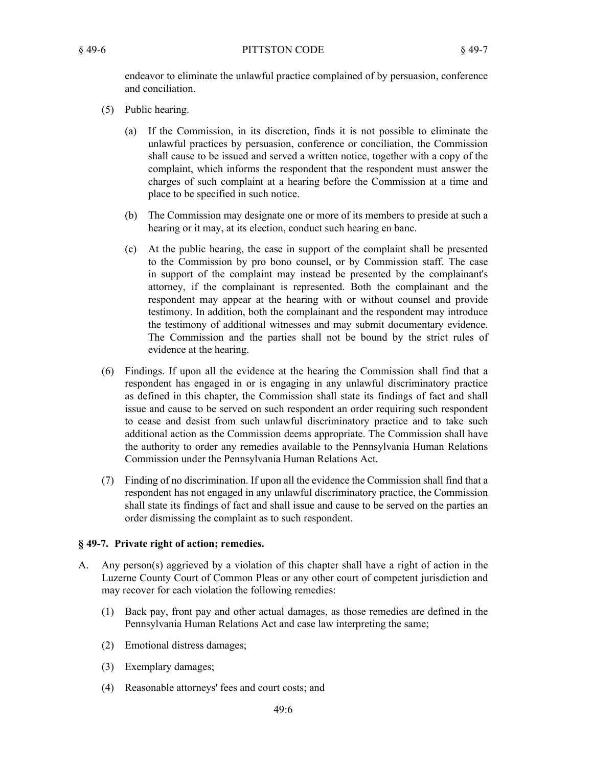endeavor to eliminate the unlawful practice complained of by persuasion, conference and conciliation.

- (5) Public hearing.
	- (a) If the Commission, in its discretion, finds it is not possible to eliminate the unlawful practices by persuasion, conference or conciliation, the Commission shall cause to be issued and served a written notice, together with a copy of the complaint, which informs the respondent that the respondent must answer the charges of such complaint at a hearing before the Commission at a time and place to be specified in such notice.
	- The Commission may designate one or more of its members to preside at such a (b) hearing or it may, at its election, conduct such hearing en banc.
	- At the public hearing, the case in support of the complaint shall be presented (c) to the Commission by pro bono counsel, or by Commission staff. The case in support of the complaint may instead be presented by the complainant's attorney, if the complainant is represented. Both the complainant and the respondent may appear at the hearing with or without counsel and provide testimony. In addition, both the complainant and the respondent may introduce the testimony of additional witnesses and may submit documentary evidence. The Commission and the parties shall not be bound by the strict rules of evidence at the hearing.
- Findings. If upon all the evidence at the hearing the Commission shall find that a (6) respondent has engaged in or is engaging in any unlawful discriminatory practice as defined in this chapter, the Commission shall state its findings of fact and shall issue and cause to be served on such respondent an order requiring such respondent to cease and desist from such unlawful discriminatory practice and to take such additional action as the Commission deems appropriate. The Commission shall have the authority to order any remedies available to the Pennsylvania Human Relations Commission under the Pennsylvania Human Relations Act.
- Finding of no discrimination. If upon all the evidence the Commission shall find that a (7) respondent has not engaged in any unlawful discriminatory practice, the Commission shall state its findings of fact and shall issue and cause to be served on the parties an order dismissing the complaint as to such respondent.

## **§ 49-7. Private right of action; remedies.**

- Any person(s) aggrieved by a violation of this chapter shall have a right of action in the Luzerne County Court of Common Pleas or any other court of competent jurisdiction and may recover for each violation the following remedies: A.
	- Back pay, front pay and other actual damages, as those remedies are defined in the (1) Pennsylvania Human Relations Act and case law interpreting the same;
	- (2) Emotional distress damages;
	- (3) Exemplary damages;
	- (4) Reasonable attorneys' fees and court costs; and